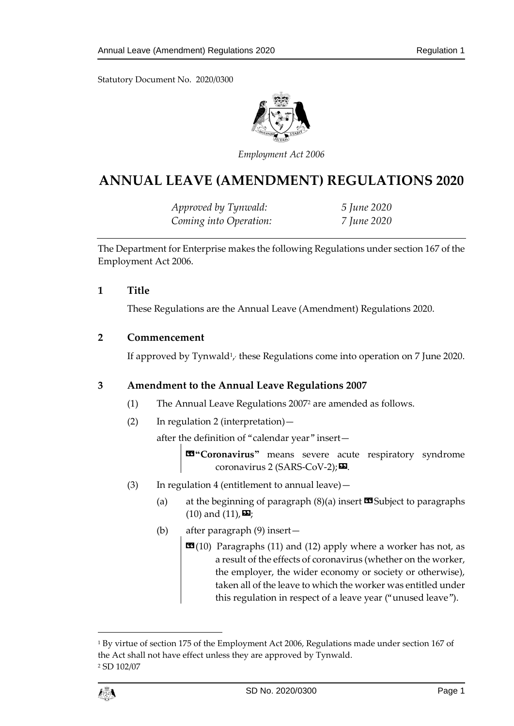

*Employment Act 2006*

# **ANNUAL LEAVE (AMENDMENT) REGULATIONS 2020**

*Approved by Tynwald: 5 June 2020 Coming into Operation: 7 June 2020*

The Department for Enterprise makes the following Regulations under section 167 of the Employment Act 2006.

### **1 Title**

These Regulations are the Annual Leave (Amendment) Regulations 2020.

### **2 Commencement**

If approved by Tynwald<sup>1</sup>, these Regulations come into operation on 7 June 2020.

### **3 Amendment to the Annual Leave Regulations 2007**

- (1) The Annual Leave Regulations 2007<sup>2</sup> are amended as follows.
- (2) In regulation 2 (interpretation)—

after the definition of "calendar year" insert—

«**"Coronavirus"** means severe acute respiratory syndrome coronavirus 2 (SARS-CoV-2);**¤**.

- (3) In regulation 4 (entitlement to annual leave)—
	- (a) at the beginning of paragraph  $(8)(a)$  insert  $\Box$  Subject to paragraphs  $(10)$  and  $(11)$ ,  $\Box$ ;
	- (b) after paragraph (9) insert—
		- $\mathbf{G}(10)$  Paragraphs (11) and (12) apply where a worker has not, as a result of the effects of coronavirus (whether on the worker, the employer, the wider economy or society or otherwise), taken all of the leave to which the worker was entitled under this regulation in respect of a leave year ("unused leave").

<sup>&</sup>lt;sup>1</sup> By virtue of section 175 of the Employment Act 2006, Regulations made under section 167 of the Act shall not have effect unless they are approved by Tynwald. <sup>2</sup> SD 102/07



1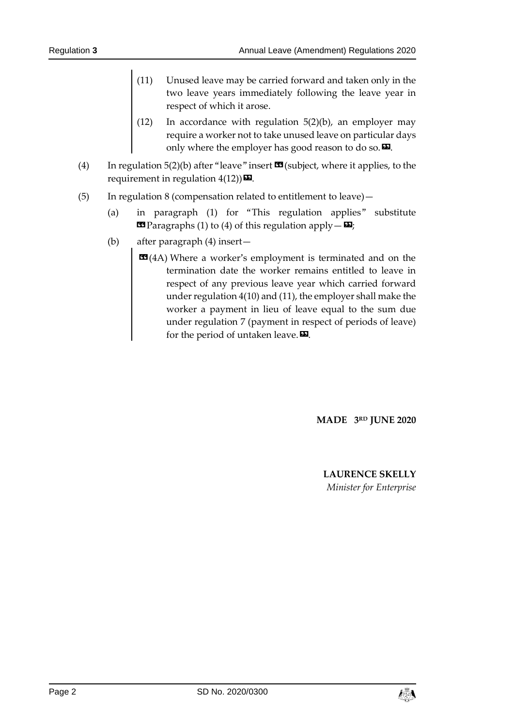- (11) Unused leave may be carried forward and taken only in the two leave years immediately following the leave year in respect of which it arose.
- (12) In accordance with regulation 5(2)(b), an employer may require a worker not to take unused leave on particular days only where the employer has good reason to do so. $\boldsymbol{\mathsf{E}}$ .
- (4) In regulation 5(2)(b) after "leave" insert  $\mathbf{\Omega}$  (subject, where it applies, to the requirement in regulation  $4(12)$ )  $\mathbf{\Sigma}$ .
- (5) In regulation 8 (compensation related to entitlement to leave)—
	- (a) in paragraph (1) for "This regulation applies" substitute  $\text{I}$  Paragraphs (1) to (4) of this regulation apply -  $\text{I}$ ;
	- (b) after paragraph (4) insert—
		- $\mathbf{G}(4A)$  Where a worker's employment is terminated and on the termination date the worker remains entitled to leave in respect of any previous leave year which carried forward under regulation 4(10) and (11), the employer shall make the worker a payment in lieu of leave equal to the sum due under regulation 7 (payment in respect of periods of leave) for the period of untaken leave. $\mathbf{E}$ .

**MADE 3RD JUNE 2020**

**LAURENCE SKELLY** *Minister for Enterprise*